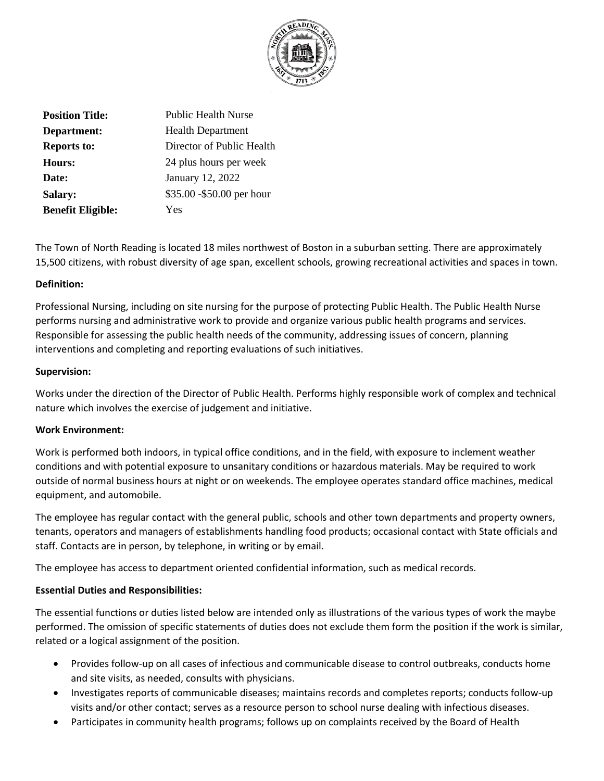

| <b>Position Title:</b>   | <b>Public Health Nurse</b> |
|--------------------------|----------------------------|
| Department:              | <b>Health Department</b>   |
| <b>Reports to:</b>       | Director of Public Health  |
| Hours:                   | 24 plus hours per week     |
| Date:                    | January 12, 2022           |
| Salary:                  | \$35.00 - \$50.00 per hour |
| <b>Benefit Eligible:</b> | Yes                        |

The Town of North Reading is located 18 miles northwest of Boston in a suburban setting. There are approximately 15,500 citizens, with robust diversity of age span, excellent schools, growing recreational activities and spaces in town.

## **Definition:**

Professional Nursing, including on site nursing for the purpose of protecting Public Health. The Public Health Nurse performs nursing and administrative work to provide and organize various public health programs and services. Responsible for assessing the public health needs of the community, addressing issues of concern, planning interventions and completing and reporting evaluations of such initiatives.

### **Supervision:**

Works under the direction of the Director of Public Health. Performs highly responsible work of complex and technical nature which involves the exercise of judgement and initiative.

# **Work Environment:**

Work is performed both indoors, in typical office conditions, and in the field, with exposure to inclement weather conditions and with potential exposure to unsanitary conditions or hazardous materials. May be required to work outside of normal business hours at night or on weekends. The employee operates standard office machines, medical equipment, and automobile.

The employee has regular contact with the general public, schools and other town departments and property owners, tenants, operators and managers of establishments handling food products; occasional contact with State officials and staff. Contacts are in person, by telephone, in writing or by email.

The employee has access to department oriented confidential information, such as medical records.

### **Essential Duties and Responsibilities:**

The essential functions or duties listed below are intended only as illustrations of the various types of work the maybe performed. The omission of specific statements of duties does not exclude them form the position if the work is similar, related or a logical assignment of the position.

- Provides follow-up on all cases of infectious and communicable disease to control outbreaks, conducts home and site visits, as needed, consults with physicians.
- Investigates reports of communicable diseases; maintains records and completes reports; conducts follow-up visits and/or other contact; serves as a resource person to school nurse dealing with infectious diseases.
- Participates in community health programs; follows up on complaints received by the Board of Health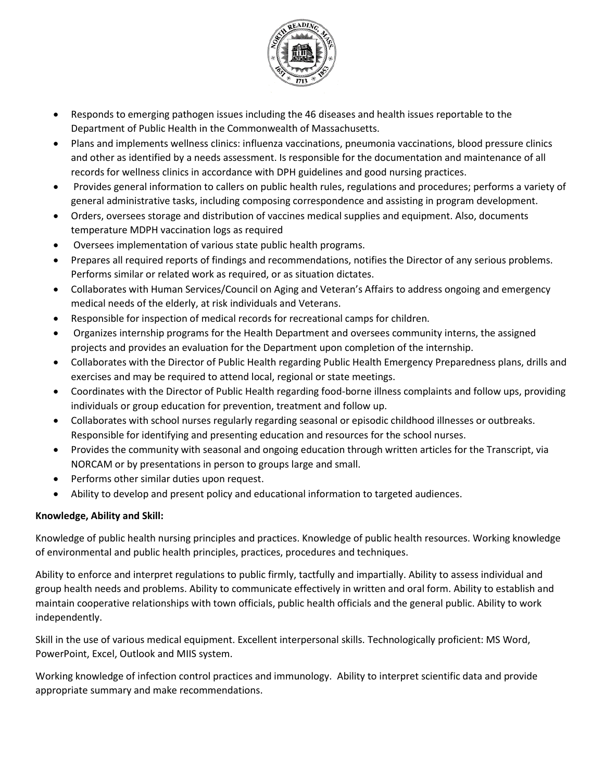

- Responds to emerging pathogen issues including the 46 diseases and health issues reportable to the Department of Public Health in the Commonwealth of Massachusetts.
- Plans and implements wellness clinics: influenza vaccinations, pneumonia vaccinations, blood pressure clinics and other as identified by a needs assessment. Is responsible for the documentation and maintenance of all records for wellness clinics in accordance with DPH guidelines and good nursing practices.
- Provides general information to callers on public health rules, regulations and procedures; performs a variety of general administrative tasks, including composing correspondence and assisting in program development.
- Orders, oversees storage and distribution of vaccines medical supplies and equipment. Also, documents temperature MDPH vaccination logs as required
- Oversees implementation of various state public health programs.
- Prepares all required reports of findings and recommendations, notifies the Director of any serious problems. Performs similar or related work as required, or as situation dictates.
- Collaborates with Human Services/Council on Aging and Veteran's Affairs to address ongoing and emergency medical needs of the elderly, at risk individuals and Veterans.
- Responsible for inspection of medical records for recreational camps for children.
- Organizes internship programs for the Health Department and oversees community interns, the assigned projects and provides an evaluation for the Department upon completion of the internship.
- Collaborates with the Director of Public Health regarding Public Health Emergency Preparedness plans, drills and exercises and may be required to attend local, regional or state meetings.
- Coordinates with the Director of Public Health regarding food-borne illness complaints and follow ups, providing individuals or group education for prevention, treatment and follow up.
- Collaborates with school nurses regularly regarding seasonal or episodic childhood illnesses or outbreaks. Responsible for identifying and presenting education and resources for the school nurses.
- Provides the community with seasonal and ongoing education through written articles for the Transcript, via NORCAM or by presentations in person to groups large and small.
- Performs other similar duties upon request.
- Ability to develop and present policy and educational information to targeted audiences.

# **Knowledge, Ability and Skill:**

Knowledge of public health nursing principles and practices. Knowledge of public health resources. Working knowledge of environmental and public health principles, practices, procedures and techniques.

Ability to enforce and interpret regulations to public firmly, tactfully and impartially. Ability to assess individual and group health needs and problems. Ability to communicate effectively in written and oral form. Ability to establish and maintain cooperative relationships with town officials, public health officials and the general public. Ability to work independently.

Skill in the use of various medical equipment. Excellent interpersonal skills. Technologically proficient: MS Word, PowerPoint, Excel, Outlook and MIIS system.

Working knowledge of infection control practices and immunology. Ability to interpret scientific data and provide appropriate summary and make recommendations.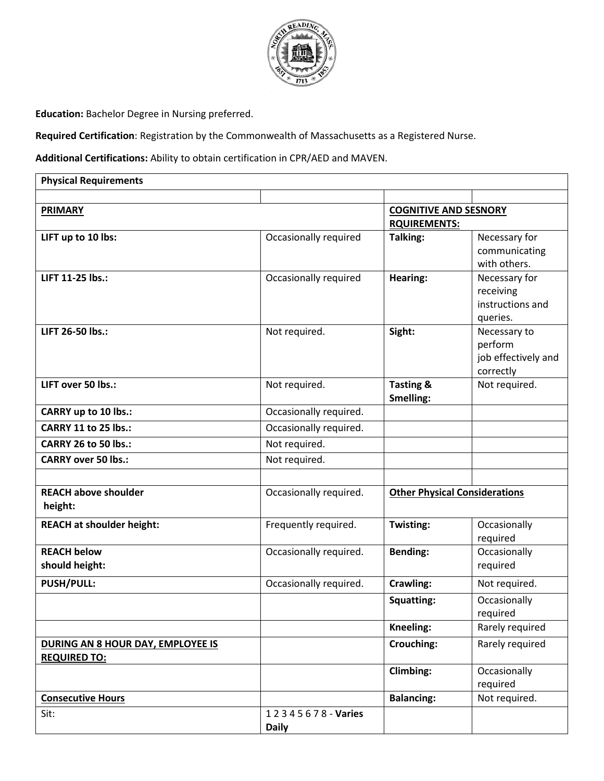

**Education:** Bachelor Degree in Nursing preferred.

**Required Certification**: Registration by the Commonwealth of Massachusetts as a Registered Nurse.

**Additional Certifications:** Ability to obtain certification in CPR/AED and MAVEN.

| <b>Physical Requirements</b>                             |                                   |                                                     |                                                             |
|----------------------------------------------------------|-----------------------------------|-----------------------------------------------------|-------------------------------------------------------------|
|                                                          |                                   |                                                     |                                                             |
| <b>PRIMARY</b>                                           |                                   | <b>COGNITIVE AND SESNORY</b><br><b>RQUIREMENTS:</b> |                                                             |
| LIFT up to 10 lbs:                                       | Occasionally required             | Talking:                                            | Necessary for<br>communicating<br>with others.              |
| LIFT 11-25 lbs.:                                         | Occasionally required             | Hearing:                                            | Necessary for<br>receiving<br>instructions and<br>queries.  |
| LIFT 26-50 lbs.:                                         | Not required.                     | Sight:                                              | Necessary to<br>perform<br>job effectively and<br>correctly |
| LIFT over 50 lbs.:                                       | Not required.                     | <b>Tasting &amp;</b><br>Smelling:                   | Not required.                                               |
| <b>CARRY up to 10 lbs.:</b>                              | Occasionally required.            |                                                     |                                                             |
| <b>CARRY 11 to 25 lbs.:</b>                              | Occasionally required.            |                                                     |                                                             |
| <b>CARRY 26 to 50 lbs.:</b>                              | Not required.                     |                                                     |                                                             |
| <b>CARRY over 50 lbs.:</b>                               | Not required.                     |                                                     |                                                             |
|                                                          |                                   |                                                     |                                                             |
| <b>REACH above shoulder</b><br>height:                   | Occasionally required.            | <b>Other Physical Considerations</b>                |                                                             |
| <b>REACH at shoulder height:</b>                         | Frequently required.              | Twisting:                                           | Occasionally<br>required                                    |
| <b>REACH below</b><br>should height:                     | Occasionally required.            | <b>Bending:</b>                                     | Occasionally<br>required                                    |
| <b>PUSH/PULL:</b>                                        | Occasionally required.            | Crawling:                                           | Not required.                                               |
|                                                          |                                   | Squatting:                                          | Occasionally<br>required                                    |
|                                                          |                                   | Kneeling:                                           | Rarely required                                             |
| DURING AN 8 HOUR DAY, EMPLOYEE IS<br><b>REQUIRED TO:</b> |                                   | Crouching:                                          | Rarely required                                             |
|                                                          |                                   | <b>Climbing:</b>                                    | Occasionally<br>required                                    |
| <b>Consecutive Hours</b>                                 |                                   | <b>Balancing:</b>                                   | Not required.                                               |
| Sit:                                                     | 12345678 - Varies<br><b>Daily</b> |                                                     |                                                             |